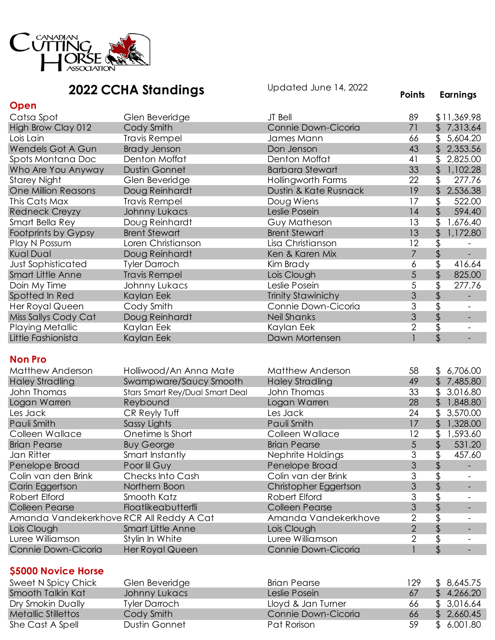

|                                          | <b>2022 CCHA Standings</b>      | Updated June 14, 2022     | <b>Points</b>  | <b>Earnings</b>                                       |
|------------------------------------------|---------------------------------|---------------------------|----------------|-------------------------------------------------------|
| Open                                     |                                 |                           |                |                                                       |
| Catsa Spot                               | Glen Beveridge                  | JT Bell                   | 89             | \$11,369.98                                           |
| High Brow Clay 012                       | Cody Smith                      | Connie Down-Cicoria       | 71             | \$7,313.64                                            |
| Lois Lain                                | <b>Travis Rempel</b>            | James Mann                | 66             | \$<br>5,604.20                                        |
| Wendels Got A Gun                        | <b>Brady Jenson</b>             | Don Jenson                | 43             | 2,353.56<br>$\frac{2}{3}$                             |
| Spots Montana Doc                        | Denton Moffat                   | Denton Moffat             | 41             | $\mathfrak{L}$<br>2,825.00                            |
| Who Are You Anyway                       | <b>Dustin Gonnet</b>            | <b>Barbara Stewart</b>    | 33             | $\frac{1}{2}$<br>1,102.28                             |
| <b>Starey Night</b>                      | Glen Beveridge                  | Hollingworth Farms        | 22             | \$<br>277.76                                          |
| <b>One Million Reasons</b>               | Doug Reinhardt                  | Dustin & Kate Rusnack     | 19             | \$<br>2,536.38                                        |
| This Cats Max                            | <b>Travis Rempel</b>            | Doug Wiens                | 17             | \$<br>522.00                                          |
| <b>Redneck Creyzy</b>                    | Johnny Lukacs                   | Leslie Posein             | 14             | $\frac{1}{2}$<br>594.40                               |
| Smart Bella Rey                          | Doug Reinhardt                  | Guy Matheson              | 13             | \$<br>1,676.40                                        |
| Footprints by Gypsy                      | <b>Brent Stewart</b>            | <b>Brent Stewart</b>      | 13             | $\sqrt{2}$<br>1,172.80                                |
| Play N Possum                            | Loren Christianson              | Lisa Christianson         | 12             | \$                                                    |
| <b>Kual Dual</b>                         | Doug Reinhardt                  | Ken & Karen Mix           | $\overline{7}$ | \$                                                    |
| <b>Just Sophisticated</b>                | <b>Tyler Darroch</b>            | Kim Brady                 | 6              | 416.64                                                |
| <b>Smart Little Anne</b>                 | <b>Travis Rempel</b>            | Lois Clough               | 5              | $\frac{1}{2}$<br>825.00                               |
| Doin My Time                             | Johnny Lukacs                   | Leslie Posein             | $\overline{5}$ | $\overline{\$}$<br>277.76                             |
| Spotted In Red                           | Kaylan Eek                      | <b>Trinity Stawinichy</b> | 3              | $\updownarrow$                                        |
| Her Royal Queen                          | Cody Smith                      | Connie Down-Cicoria       | $\overline{3}$ | \$                                                    |
| Miss Sallys Cody Cat                     | Doug Reinhardt                  | <b>Neil Shanks</b>        | 3              | $\frac{1}{2}$<br>$\equiv$                             |
| <b>Playing Metallic</b>                  | Kaylan Eek                      | Kaylan Eek                | $\overline{2}$ | $\overline{\phantom{a}}$                              |
| Little Fashionista                       | Kaylan Eek                      | Dawn Mortensen            | $\mathbf{1}$   | $\frac{1}{2}$                                         |
| <b>Non Pro</b>                           |                                 |                           |                |                                                       |
| <b>Matthew Anderson</b>                  | Holliwood/An Anna Mate          | Matthew Anderson          | 58             | 6,706.00<br>\$                                        |
| <b>Haley Stradling</b>                   | Swampware/Saucy Smooth          | <b>Haley Stradling</b>    | 49             | \$7,485.80                                            |
| John Thomas                              | Stars Smart Rey/Dual Smart Deal | John Thomas               | 33             | $\mathfrak{L}$<br>3,016.80                            |
| Logan Warren                             | Reybound                        | Logan Warren              | 28             | $\frac{1}{2}$<br>1,848.80                             |
| Les Jack                                 | CR Reyly Tuff                   | Les Jack                  | 24             | \$<br>3,570.00                                        |
| Pauli Smith                              | Sassy Lights                    | Pauli Smith               | 17             | $\frac{1}{2}$<br>1,328.00                             |
| Colleen Wallace                          | Onetime Is Short                | Colleen Wallace           | 12             | \$<br>1,593.60                                        |
| <b>Brian Pearse</b>                      | <b>Buy George</b>               | <b>Brian Pearse</b>       | 5              | 531.20<br>\$                                          |
| Jan Ritter                               | Smart Instantly                 | Nephrite Holdings         | 3              | \$<br>457.60                                          |
| Penelope Broad                           | Poor lil Guy                    | Penelope Broad            | 3              | \$                                                    |
| Colin van den Brink                      | Checks Into Cash                | Colin van der Brink       | 3              | \$                                                    |
| Carin Eggertson                          | Northern Boon                   | Christopher Eggertson     | 3              | \$                                                    |
| Robert Elford                            | Smooth Katz                     | Robert Elford             | 3              | \$<br>$\overline{\phantom{a}}$                        |
| <b>Colleen Pearse</b>                    | Floatlikeabutterfli             | <b>Colleen Pearse</b>     | 3              | \$                                                    |
| Amanda Vandekerkhove RCR All Reddy A Cat |                                 | Amanda Vandekerkhove      | 2              | $\overline{\mathfrak{s}}$<br>$\overline{\phantom{a}}$ |
| Lois Clough                              | Smart Little Anne               | Lois Clough               | $\overline{2}$ | \$                                                    |
| Luree Williamson                         | Stylin In White                 | Luree Williamson          | 2              | \$                                                    |
| Connie Down-Cicoria                      | <b>Her Royal Queen</b>          | Connie Down-Cicoria       | $\mathbf{1}$   | \$                                                    |
| \$5000 Novice Horse                      |                                 |                           |                |                                                       |

## Sweet N Spicy Chick Glen Beveridge Brian Pearse 129 \$ 8,645.75 Smooth Talkin Kat Johnny Lukacs Leslie Posein 67 \$ 4,266.20 Dry Smokin Dually Tyler Darroch Lloyd & Jan Turner 66 \$ 3,016.64 Net Cody Smith Cody Smith<br>
Metallic Sonnie Down-Cicoria 66<br>
Pat Rorison 59 She Cast A Spell **She Cast A Spell** Dustin Gonnet Pat Rorison 59 \$ 6,001.80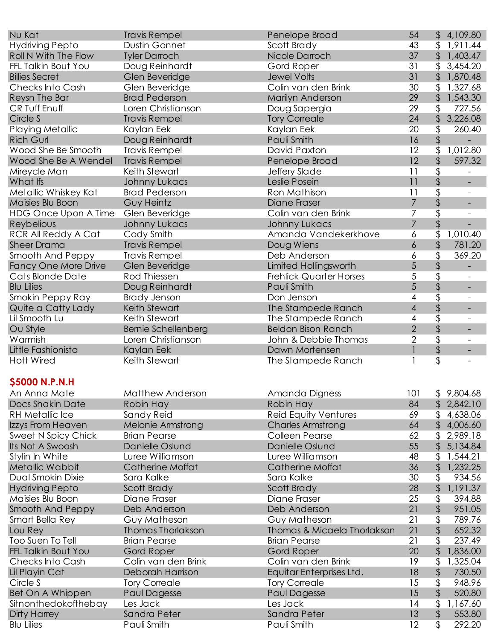| Nu Kat                      | <b>Travis Rempel</b>       | Penelope Broad                 | 54             | \$4,109.80                                            |
|-----------------------------|----------------------------|--------------------------------|----------------|-------------------------------------------------------|
| <b>Hydriving Pepto</b>      | Dustin Gonnet              | Scott Brady                    | 43             | 1,911.44<br>\$                                        |
| Roll N With The Flow        | <b>Tyler Darroch</b>       | Nicole Darroch                 | 37             | $\mathfrak{L}$<br>1,403.47                            |
| FFL Talkin Bout You         | Doug Reinhardt             | Gord Roper                     | 31             | \$<br>3,454.20                                        |
| <b>Billies Secret</b>       | Glen Beveridge             | <b>Jewel Volts</b>             | 31             | 1,870.48<br>\$                                        |
| Checks Into Cash            | Glen Beveridge             | Colin van den Brink            | 30             | 1,327.68<br>\$                                        |
| Reysn The Bar               | <b>Brad Pederson</b>       | Marilyn Anderson               | 29             | \$<br>1,543.30                                        |
| CR Tuff Enuff               | Loren Christianson         | Doug Sapergia                  | 29             | \$<br>727.56                                          |
| Circle S                    | <b>Travis Rempel</b>       | <b>Tory Correale</b>           | 24             | \$<br>3,226.08                                        |
| <b>Playing Metallic</b>     | Kaylan Eek                 | Kaylan Eek                     | 20             | \$<br>260.40                                          |
| <b>Rich Gurl</b>            | Doug Reinhardt             | Pauli Smith                    | 16             | \$                                                    |
| Wood She Be Smooth          | <b>Travis Rempel</b>       | David Paxton                   | 12             | \$<br>1,012.80                                        |
| Wood She Be A Wendel        | <b>Travis Rempel</b>       | Penelope Broad                 | 12             | $\mathfrak{P}$<br>597.32                              |
| Mireycle Man                | Keith Stewart              | Jeffery Slade                  | 11             | \$                                                    |
| What Ifs                    | <b>Johnny Lukacs</b>       | Leslie Posein                  | 11             | \$<br>$\overline{\phantom{a}}$                        |
| Metallic Whiskey Kat        | <b>Brad Pederson</b>       | Ron Mathison                   | 11             | $\overline{\$}$                                       |
| Maisies Blu Boon            | <b>Guy Heintz</b>          | Diane Fraser                   | $\overline{7}$ | \$                                                    |
| <b>HDG Once Upon A Time</b> | Glen Beveridge             | Colin van den Brink            | 7              | \$                                                    |
| Reybelious                  | <b>Johnny Lukacs</b>       | Johnny Lukacs                  | $\overline{7}$ | \$                                                    |
| <b>RCR All Reddy A Cat</b>  | Cody Smith                 | Amanda Vandekerkhove           | 6              | \$<br>1,010.40                                        |
| <b>Sheer Drama</b>          | <b>Travis Rempel</b>       | Doug Wiens                     | 6              | 781.20                                                |
| Smooth And Peppy            | <b>Travis Rempel</b>       | Deb Anderson                   | 6              | \$<br>\$<br>369.20                                    |
| <b>Fancy One More Drive</b> | Glen Beveridge             | Limited Hollingsworth          | 5              |                                                       |
|                             | Rod Thiessen               |                                | 5              | \$<br>\$                                              |
| Cats Blonde Date            |                            | <b>Frehlick Quarter Horses</b> | 5              |                                                       |
| <b>Blu Lilies</b>           | Doug Reinhardt             | Pauli Smith                    |                | $\frac{1}{2}$                                         |
| Smokin Peppy Ray            | <b>Brady Jenson</b>        | Don Jenson                     | 4              | $\overline{\mathfrak{s}}$<br>$\overline{\phantom{a}}$ |
| Quite a Catty Lady          | Keith Stewart              | The Stampede Ranch             | $\overline{4}$ | \$<br>-                                               |
| Lil Smooth Lu               | Keith Stewart              | The Stampede Ranch             | 4              | $\overline{\$}$                                       |
| Ou Style                    | <b>Bernie Schellenberg</b> | <b>Beldon Bison Ranch</b>      | $\overline{2}$ | $\frac{1}{2}$<br>$\overline{\phantom{0}}$             |
| Warmish                     | Loren Christianson         | John & Debbie Thomas           | $\overline{2}$ | \$                                                    |
| Little Fashionista          | Kaylan Eek                 | Dawn Mortensen                 | $\mathbf{I}$   | \$                                                    |
| <b>Hott Wired</b>           | Keith Stewart              | The Stampede Ranch             | 1              | $\overline{\mathfrak{s}}$                             |
|                             |                            |                                |                |                                                       |
| \$5000 N.P.N.H              |                            |                                |                |                                                       |
| An Anna Mate                | Matthew Anderson           | Amanda Digness                 | 101            | \$9,804.68                                            |
| Docs Shakin Date            | Robin Hay                  | Robin Hay                      | 84             | 2,842.10<br>$\mathfrak{L}$                            |
| <b>RH Metallic Ice</b>      | Sandy Reid                 | <b>Reid Equity Ventures</b>    | 69             | 4,638.06<br>$\mathfrak{L}$                            |
| Izzys From Heaven           | Melonie Armstrong          | <b>Charles Armstrong</b>       | 64             | 4,006.60<br>$\mathfrak{L}$                            |
| Sweet N Spicy Chick         | <b>Brian Pearse</b>        | <b>Colleen Pearse</b>          | 62             | 2,989.18<br>\$                                        |
| Its Not A Swoosh            | Danielle Oslund            | Danielle Oslund                | 55             | 5,134.84                                              |
| Stylin In White             | Luree Williamson           | Luree Williamson               | 48             | 1,544.21<br>\$                                        |
| Metallic Wabbit             | Catherine Moffat           | <b>Catherine Moffat</b>        | 36             | 1,232.25<br>\$                                        |
| Dual Smokin Dixie           | Sara Kalke                 | Sara Kalke                     | 30             | \$<br>934.56                                          |
| <b>Hydriving Pepto</b>      | Scott Brady                | Scott Brady                    | 28             | 1,191.37<br>\$                                        |
| Maisies Blu Boon            | Diane Fraser               | Diane Fraser                   | 25             | \$<br>394.88                                          |
| Smooth And Peppy            | Deb Anderson               | Deb Anderson                   | 21             | \$<br>951.05                                          |
| Smart Bella Rey             | Guy Matheson               | Guy Matheson                   | 21             | \$<br>789.76                                          |
| Lou Rey                     | <b>Thomas Thorlakson</b>   | Thomas & Micaela Thorlakson    | 21             | 652.32<br>\$                                          |
| Too Suen To Tell            | <b>Brian Pearse</b>        | <b>Brian Pearse</b>            | 21             | \$<br>237.49                                          |
| FFL Talkin Bout You         | <b>Gord Roper</b>          | Gord Roper                     | 20             | 1,836.00<br>\$                                        |
| Checks Into Cash            | Colin van den Brink        | Colin van den Brink            | 19             | \$<br>1,325.04                                        |
| Lil Playin Cat              | Deborah Harrison           | Equitar Enterprises Ltd.       | 18             | 730.50<br>\$                                          |
| Circle S                    | <b>Tory Correale</b>       | <b>Tory Correale</b>           | 15             | \$<br>948.96                                          |
| Bet On A Whippen            | <b>Paul Dagesse</b>        | Paul Dagesse                   | 15             | 520.80                                                |
| Sitnonthedokofthebay        | Les Jack                   | Les Jack                       | 14             | \$<br>1,167.60                                        |
| Dirty Harrey                | Sandra Peter               | Sandra Peter                   | 13             | 553.80<br>\$                                          |
| <b>Blu Lilies</b>           | Pauli Smith                | Pauli Smith                    | 12             | \$<br>292.20                                          |
|                             |                            |                                |                |                                                       |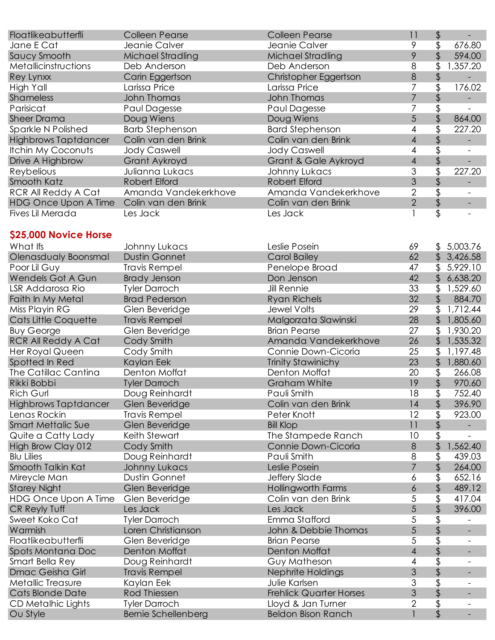| Floatlikeabutterfli                      | <b>Colleen Pearse</b>  | <b>Colleen Pearse</b>  | 11             | \$             |
|------------------------------------------|------------------------|------------------------|----------------|----------------|
| Jane E Cat                               | Jeanie Calver          | Jeanie Calver          | 9              | 676.80         |
| Saucy Smooth                             | Michael Stradling      | Michael Stradling      | 9              | 594.00         |
| Metallicinstructions                     | Deb Anderson           | Deb Anderson           | 8              | \$<br>1,357.20 |
| Rey Lynxx                                | Carin Eggertson        | Christopher Eggertson  | 8              |                |
| High Yall                                | Larissa Price          | Larissa Price          |                | 176.02         |
| <b>Shameless</b>                         | John Thomas            | <b>John Thomas</b>     |                |                |
| Parisicat                                | Paul Dagesse           | Paul Dagesse           |                |                |
| <b>Sheer Drama</b>                       | Doug Wiens             | Doug Wiens             | 5              | 864.00         |
| Sparkle N Polished                       | <b>Barb Stephenson</b> | <b>Bard Stephenson</b> | 4              | 227.20         |
| <b>Highbrows Taptdancer</b>              | Colin van den Brink    | Colin van den Brink    | 4              |                |
| Itchin My Coconuts                       | <b>Jody Caswell</b>    | <b>Jody Caswell</b>    | 4              |                |
| Drive A Highbrow                         | Grant Aykroyd          | Grant & Gale Aykroyd   | 4              |                |
| Reybelious                               | Julianna Lukacs        | Johnny Lukacs          | 3              | 227.20         |
| Smooth Katz                              | Robert Elford          | Robert Elford          | 3              |                |
| RCR All Reddy A Cat                      | Amanda Vandekerkhove   | Amanda Vandekerkhove   | 2              |                |
| HDG Once Upon A Time Colin van den Brink |                        | Colin van den Brink    | $\overline{2}$ |                |
| Fives Lil Merada                         | Les Jack               | Les Jack               |                |                |

## **\$25,000 Novice Horse**

| What Ifs                    | Johnny Lukacs              | Leslie Posein                  | 69                                                                                                     |                           | \$5,003.76               |
|-----------------------------|----------------------------|--------------------------------|--------------------------------------------------------------------------------------------------------|---------------------------|--------------------------|
| Olenasdualy Boonsmal        | <b>Dustin Gonnet</b>       | <b>Carol Bailey</b>            | 62                                                                                                     | \$                        | 3,426.58                 |
| Poor Lil Guy                | <b>Travis Rempel</b>       | Penelope Broad                 | 47                                                                                                     | \$                        | 5,929.10                 |
| Wendels Got A Gun           | <b>Brady Jenson</b>        | Don Jenson                     | 42                                                                                                     | \$                        | 6,638.20                 |
| LSR Addarosa Rio            | <b>Tyler Darroch</b>       | <b>Jill Rennie</b>             | 33                                                                                                     | \$                        | 1,529.60                 |
| Faith In My Metal           | <b>Brad Pederson</b>       | <b>Ryan Richels</b>            | 32                                                                                                     | \$                        | 884.70                   |
| Miss Playin RG              | Glen Beveridge             | <b>Jewel Volts</b>             | 29                                                                                                     | \$                        | 1,712.44                 |
| Cats Little Coquette        | <b>Travis Rempel</b>       | Malgorzata Slawinski           | 28                                                                                                     | $\mathfrak{L}$            | 1,805.60                 |
| <b>Buy George</b>           | Glen Beveridge             | <b>Brian Pearse</b>            | 27                                                                                                     | \$                        | 1,930.20                 |
| <b>RCR All Reddy A Cat</b>  | Cody Smith                 | Amanda Vandekerkhove           | 26                                                                                                     |                           | 1,535.32                 |
| Her Royal Queen             | Cody Smith                 | Connie Down-Cicoria            | 25                                                                                                     | \$                        | 1,197.48                 |
| Spotted In Red              | Kaylan Eek                 | <b>Trinity Stawinichy</b>      | 23                                                                                                     | \$                        | 1,880.60                 |
| <b>The Catillac Cantina</b> | Denton Moffat              | Denton Moffat                  | $\overline{20}$                                                                                        | $\overline{\mathfrak{s}}$ | 266.08                   |
| Rikki Bobbi                 | <b>Tyler Darroch</b>       | <b>Graham White</b>            | 19                                                                                                     | \$                        | 970.60                   |
| <b>Rich Gurl</b>            | Doug Reinhardt             | Pauli Smith                    | 18                                                                                                     | $\overline{\mathfrak{s}}$ | 752.40                   |
| <b>Highbrows Taptdancer</b> | Glen Beveridge             | Colin van den Brink            | 14                                                                                                     |                           | 396.90                   |
| Lenas Rockin                | <b>Travis Rempel</b>       | Peter Knott                    | 12                                                                                                     | \$                        | 923.00                   |
| Smart Mettalic Sue          | Glen Beveridge             | <b>Bill Klop</b>               | 11                                                                                                     | \$                        |                          |
| Quite a Catty Lady          | Keith Stewart              | The Stampede Ranch             | 10                                                                                                     | \$                        | $\equiv$                 |
| High Brow Clay 012          | Cody Smith                 | Connie Down-Cicoria            | 8                                                                                                      | \$                        | 1,562.40                 |
| <b>Blu Lilies</b>           | Doug Reinhardt             | Pauli Smith                    | 8                                                                                                      | $\overline{\mathfrak{s}}$ | 439.03                   |
| Smooth Talkin Kat           | <b>Johnny Lukacs</b>       | Leslie Posein                  | $\overline{7}$                                                                                         | \$                        | 264.00                   |
| Mireycle Man                | <b>Dustin Gonnet</b>       | Jeffery Slade                  | 6                                                                                                      | \$                        | 652.16                   |
| <b>Starey Night</b>         | Glen Beveridge             | <b>Hollingworth Farms</b>      | 6                                                                                                      | \$                        | 489.12                   |
| <b>HDG Once Upon A Time</b> | Glen Beveridge             | Colin van den Brink            | 5                                                                                                      | $\overline{\mathfrak{s}}$ | 417.04                   |
| CR Reyly Tuff               | Les Jack                   | Les Jack                       | 5                                                                                                      | \$                        | 396.00                   |
| Sweet Koko Cat              | <b>Tyler Darroch</b>       | Emma Stafford                  | $\overline{5}$                                                                                         | $\overline{\$}$           |                          |
| Warmish                     | Loren Christianson         | John & Debbie Thomas           | 5                                                                                                      | \$                        | $\overline{\phantom{a}}$ |
| Floatlikeabutterfli         | Glen Beveridge             | <b>Brian Pearse</b>            | 5                                                                                                      |                           | $\overline{\phantom{a}}$ |
| Spots Montana Doc           | Denton Moffat              | Denton Moffat                  | $\overline{4}$                                                                                         | \$                        | $\overline{\phantom{a}}$ |
| Smart Bella Rey             | Doug Reinhardt             | <b>Guy Matheson</b>            | $\overline{4}$                                                                                         | $\overline{\frac{1}{2}}$  | $\blacksquare$           |
| <b>Dmac Geisha Girl</b>     | <b>Travis Rempel</b>       | Nephrite Holdings              | $\mathfrak{S}% _{A}^{\ast}=\mathfrak{S}_{A}\!\left( A;B\right) ,\ \mathfrak{S}_{A}\!\left( A;B\right)$ | $\frac{4}{3}$             | $\overline{\phantom{a}}$ |
| Metallic Treasure           | Kaylan Eek                 | Julie Karlsen                  | $\overline{3}$                                                                                         |                           |                          |
| Cats Blonde Date            | Rod Thiessen               | <b>Frehlick Quarter Horses</b> | 3                                                                                                      | \$                        |                          |
| CD Metalhic Lights          | <b>Tyler Darroch</b>       | Lloyd & Jan Turner             | $\overline{2}$                                                                                         | \$                        |                          |
| Ou Style                    | <b>Bernie Schellenberg</b> | <b>Beldon Bison Ranch</b>      |                                                                                                        |                           |                          |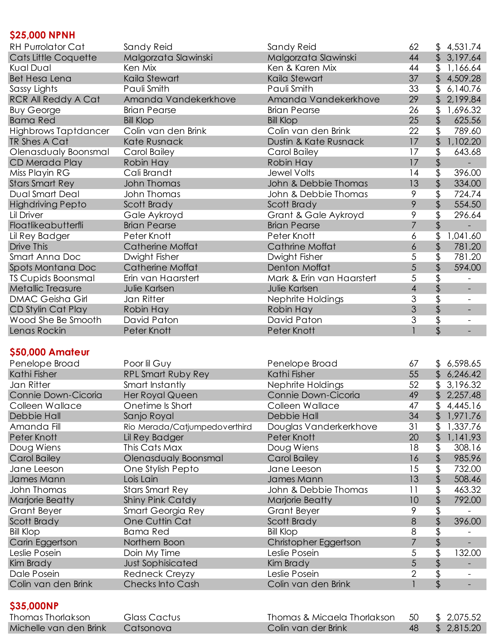## **\$25,000 NPNH**

| <b>RH Purrolator Cat</b>   | Sandy Reid              | Sandy Reid                | 62             | S        | 4,531.74                 |
|----------------------------|-------------------------|---------------------------|----------------|----------|--------------------------|
| Cats Little Coquette       | Malgorzata Slawinski    | Malgorzata Slawinski      | 44             | \$       | 3,197.64                 |
| Kual Dual                  | Ken Mix                 | Ken & Karen Mix           | 44             | \$       | 1,166.64                 |
| <b>Bet Hesa Lena</b>       | Kaila Stewart           | Kaila Stewart             | 37             | \$       | 4,509.28                 |
| Sassy Lights               | Pauli Smith             | Pauli Smith               | 33             |          | 6,140.76                 |
| <b>RCR All Reddy A Cat</b> | Amanda Vandekerkhove    | Amanda Vandekerkhove      | 29             | \$       | 2,199.84                 |
| <b>Buy George</b>          | <b>Brian Pearse</b>     | <b>Brian Pearse</b>       | 26             | \$       | 1,696.32                 |
| <b>Bama Red</b>            | <b>Bill Klop</b>        | <b>Bill Klop</b>          | 25             | \$       | 625.56                   |
| Highbrows Taptdancer       | Colin van den Brink     | Colin van den Brink       | 22             | \$       | 789.60                   |
| TR Shes A Cat              | Kate Rusnack            | Dustin & Kate Rusnack     | 17             | \$       | 1,102.20                 |
| Olenasdualy Boonsmal       | Carol Bailey            | Carol Bailey              | 17             | \$       | 643.68                   |
| CD Merada Play             | Robin Hay               | Robin Hay                 | 17             | \$       |                          |
| Miss Playin RG             | Cali Brandt             | <b>Jewel Volts</b>        | 14             | \$       | 396.00                   |
| <b>Stars Smart Rey</b>     | John Thomas             | John & Debbie Thomas      | 13             | \$       | 334.00                   |
| Dual Smart Deal            | John Thomas             | John & Debbie Thomas      | 9              | \$       | 724.74                   |
| <b>Highdriving Pepto</b>   | Scott Brady             | Scott Brady               | 9              | \$       | 554.50                   |
| Lil Driver                 | Gale Aykroyd            | Grant & Gale Aykroyd      | 9              | \$       | 296.64                   |
| Floatlikeabutterfli        | <b>Brian Pearse</b>     | <b>Brian Pearse</b>       | 7              |          |                          |
| Lil Rey Badger             | Peter Knott             | Peter Knott               | 6              |          | 1,041.60                 |
| Drive This                 | <b>Catherine Moffat</b> | <b>Cathrine Moffat</b>    | 6              | \$       | 781.20                   |
| Smart Anna Doc             | Dwight Fisher           | Dwight Fisher             | 5              |          | 781.20                   |
| Spots Montana Doc          | <b>Catherine Moffat</b> | Denton Moffat             | 5              |          | 594.00                   |
| <b>TS Cupids Boonsmal</b>  | Erin van Haarstert      | Mark & Erin van Haarstert | 5              |          |                          |
| Metallic Treasure          | Julie Karlsen           | Julie Karlsen             | $\overline{4}$ | \$<br>\$ |                          |
| <b>DMAC Geisha Girl</b>    | Jan Ritter              | Nephrite Holdings         | 3              |          |                          |
| CD Stylin Cat Play         | Robin Hay               | Robin Hay                 | 3              | \$       |                          |
| Wood She Be Smooth         | David Paton             | David Paton               | 3              |          | $\overline{\phantom{a}}$ |
| Lenas Rockin               | Peter Knott             | Peter Knott               |                |          |                          |
|                            |                         |                           |                |          |                          |

## **\$50,000 Amateur**

| Penelope Broad      | Poor lil Guy                  | Penelope Broad         | 67 | \$             | 6,598.65 |
|---------------------|-------------------------------|------------------------|----|----------------|----------|
| Kathi Fisher        | <b>RPL Smart Ruby Rey</b>     | Kathi Fisher           | 55 | $\mathfrak{L}$ | 6,246.42 |
| Jan Ritter          | Smart Instantly               | Nephrite Holdings      | 52 | \$             | 3,196.32 |
| Connie Down-Cicoria | Her Royal Queen               | Connie Down-Cicoria    | 49 | $\mathfrak{L}$ | 2,257.48 |
| Colleen Wallace     | Onetime Is Short              | Colleen Wallace        | 47 | \$             | 4,445.16 |
| Debbie Hall         | Sanjo Royal                   | Debbie Hall            | 34 | \$             | 1,971.76 |
| Amanda Fill         | Rio Merada/Catjumpedoverthird | Douglas Vanderkerkhove | 31 | \$             | 1,337.76 |
| Peter Knott         | Lil Rey Badger                | Peter Knott            | 20 | \$             | 1,141.93 |
| Doug Wiens          | This Cats Max                 | Doug Wiens             | 18 |                | 308.16   |
| <b>Carol Bailey</b> | Olenasdualy Boonsmal          | <b>Carol Bailey</b>    | 16 |                | 985.96   |
| Jane Leeson         | One Stylish Pepto             | Jane Leeson            | 15 | \$             | 732.00   |
| James Mann          | Lois Lain                     | James Mann             | 13 | \$             | 508.46   |
| John Thomas         | <b>Stars Smart Rey</b>        | John & Debbie Thomas   | 11 | \$             | 463.32   |
| Marjorie Beatty     | <b>Shiny Pink Catdy</b>       | Marjorie Beatty        | 10 | \$             | 792.00   |
| Grant Beyer         | Smart Georgia Rey             | Grant Beyer            | 9  |                |          |
| Scott Brady         | One Cuttin Cat                | Scott Brady            | 8  |                | 396.00   |
| <b>Bill Klop</b>    | <b>Bama Red</b>               | <b>Bill Klop</b>       | 8  |                |          |
| Carin Eggertson     | Northern Boon                 | Christopher Eggertson  | 7  | \$             |          |
| Leslie Posein       | Doin My Time                  | Leslie Posein          | 5  |                | 132.00   |
| Kim Brady           | <b>Just Sophisicated</b>      | Kim Brady              | 5  |                |          |
| Dale Posein         | Redneck Creyzy                | Leslie Posein          | 2  |                |          |
| Colin van den Brink | <b>Checks Into Cash</b>       | Colin van den Brink    |    |                |          |
|                     |                               |                        |    |                |          |
| \$35,000NP          |                               |                        |    |                |          |

```
Thomas Thorlakson Glass Cactus Thomas & Micaela Thorlakson 50 $ 2,075.52<br>Michelle van den Brink Catsonova Colin van der Brink 48 $ 2,815.20
Michelle van den Brink Catsonova and Colin van der Brink 48
```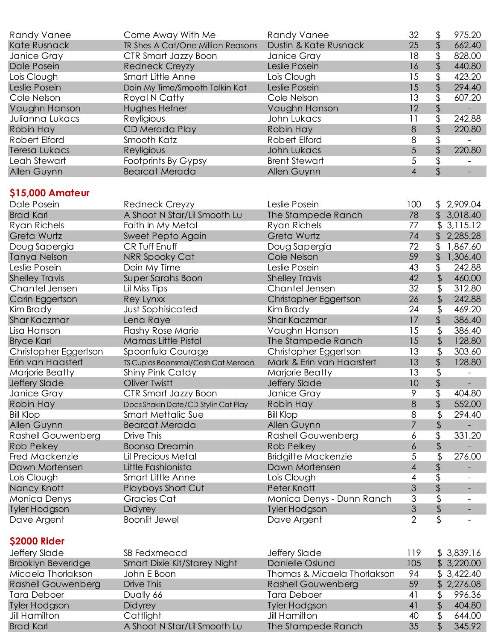| Randy Vanee               | Come Away With Me                   | Randy Vanee                 | 32             | \$       | 975.20                   |
|---------------------------|-------------------------------------|-----------------------------|----------------|----------|--------------------------|
| <b>Kate Rusnack</b>       | TR Shes A Cat/One Million Reasons   | Dustin & Kate Rusnack       | 25             | \$       | 662.40                   |
| Janice Gray               | CTR Smart Jazzy Boon                | Janice Gray                 | 18             | \$       | 828.00                   |
| Dale Posein               | <b>Redneck Creyzy</b>               | Leslie Posein               | 16             | \$       | 440.80                   |
| Lois Clough               | Smart Little Anne                   | Lois Clough                 | 15             | \$       | 423.20                   |
| Leslie Posein             | Doin My Time/Smooth Talkin Kat      | Leslie Posein               | 15             | \$       | 294.40                   |
| Cole Nelson               | Royal N Catty                       | Cole Nelson                 | 13             | \$       | 607.20                   |
| Vaughn Hanson             | Hughes Hefner                       | Vaughn Hanson               | 12             | \$       |                          |
| Julianna Lukacs           | Reyligious                          | John Lukacs                 | 11             | \$       | 242.88                   |
| Robin Hay                 | CD Merada Play                      | Robin Hay                   | $\delta$       | \$       | 220.80                   |
| Robert Elford             | Smooth Katz                         | Robert Elford               | 8              | \$       |                          |
| <b>Teresa Lukacs</b>      | Reyligious                          | John Lukacs                 | 5              | \$       | 220.80                   |
| Leah Stewart              | Footprints By Gypsy                 | <b>Brent Stewart</b>        | 5              | \$       |                          |
| Allen Guynn               | <b>Bearcat Merada</b>               | Allen Guynn                 | $\overline{4}$ | \$       |                          |
|                           |                                     |                             |                |          |                          |
| \$15,000 Amateur          |                                     |                             |                |          |                          |
| Dale Posein               | Redneck Creyzy                      | Leslie Posein               | 100            |          | \$2,909.04               |
| <b>Brad Karl</b>          | A Shoot N Star/Lil Smooth Lu        | The Stampede Ranch          | 78             | \$       | 3,018.40                 |
| <b>Ryan Richels</b>       | Faith In My Metal                   | Ryan Richels                | 77             |          | \$3,115.12               |
| Greta Wurtz               | Sweet Pepto Again                   | Greta Wurtz                 | 74             | \$       | 2,285.28                 |
| Doug Sapergia             | CR Tuff Enuff                       | Doug Sapergia               | 72             |          | \$1,867.60               |
| Tanya Nelson              | NRR Spooky Cat                      | Cole Nelson                 | 59             | \$       | 1,306.40                 |
| Leslie Posein             | Doin My Time                        | Leslie Posein               | 43             | \$       | 242.88                   |
| <b>Shelley Travis</b>     | <b>Super Sarahs Boon</b>            | <b>Shelley Travis</b>       | 42             | \$       | 460.00                   |
| Chantel Jensen            | Lil Miss Tips                       | Chantel Jensen              | 32             | \$       | 312.80                   |
| Carin Eggertson           | Rey Lynxx                           | Christopher Eggertson       | 26             | \$       | 242.88                   |
| Kim Brady                 | <b>Just Sophisicated</b>            | Kim Brady                   | 24             | \$       | 469.20                   |
| Shar Kaczmar              | Lena Raye                           | <b>Shar Kaczmar</b>         | 17             | \$       | 386.40                   |
| Lisa Hanson               | <b>Flashy Rose Marie</b>            | Vaughn Hanson               | 15             | \$       | 386.40                   |
| <b>Bryce Karl</b>         | Mamas Little Pistol                 | The Stampede Ranch          | 15             | \$       | 128.80                   |
| Christopher Eggertson     | Spoonfula Courage                   | Christopher Eggertson       | 13             | \$       | 303.60                   |
| Erin van Haastert         | TS Cupids Boonsmal/Cash Cat Merada  | Mark & Erin van Haarstert   | 13             | \$       | 128.80                   |
| Marjorie Beatty           | Shiny Pink Catdy                    | Marjorie Beatty             | 13             | \$       |                          |
| Jeffery Slade             | Oliver Twistt                       | Jeffery Slade               | 10             | \$       |                          |
| Janice Gray               | CTR Smart Jazzy Boon                | Janice Gray                 | 9              | \$       | 404.80                   |
| Robin Hay                 | Docs Shakin Date/CD Stylin Cat Play | Robin Hay                   | 8              | \$       | 552.00                   |
| <b>Bill Klop</b>          | Smart Mettalic Sue                  | <b>Bill Klop</b>            | 8              | \$       | 294.40                   |
| Allen Guynn               | <b>Bearcat Merada</b>               | Allen Guynn                 | $\overline{7}$ | \$       |                          |
| <b>Rashell Gouwenberg</b> | Drive This                          | <b>Rashell Gouwenberg</b>   | 6              | \$       | 331.20                   |
| <b>Rob Pelkey</b>         | <b>Boonsa Dreamin</b>               | <b>Rob Pelkey</b>           | 6              | \$       |                          |
| Fred Mackenzie            | Lil Precious Metal                  | <b>Bridgitte Mackenzie</b>  | 5              | \$       | 276.00                   |
| Dawn Mortensen            | Little Fashionista                  | Dawn Mortensen              | 4              | \$       |                          |
| Lois Clough               | Smart Little Anne                   | Lois Clough                 | 4              |          |                          |
| Nancy Knott               | Playboys Short Cut                  | Peter Knott                 | 3              | \$       | $\overline{\phantom{a}}$ |
| Monica Denys              | Gracies Cat                         | Monica Denys - Dunn Ranch   | 3              | \$       |                          |
| <b>Tyler Hodgson</b>      | Didyrey                             | <b>Tyler Hodgson</b>        | 3              | \$       | $\overline{a}$           |
| Dave Argent               | <b>Boonlit Jewel</b>                | Dave Argent                 | $\overline{2}$ | \$       |                          |
|                           |                                     |                             |                |          |                          |
| <b>\$2000 Rider</b>       |                                     |                             |                |          |                          |
| Jeffery Slade             | SB Fedxmeacd                        | Jeffery Slade               | 119            |          | \$3,839.16               |
| <b>Brooklyn Beveridge</b> | Smart Dixie Kit/Starey Night        | Danielle Oslund             | 105            |          | \$3,220.00               |
| Micaela Thorlakson        | John E Boon                         | Thomas & Micaela Thorlakson | 94             |          | \$3,422.40               |
| <b>Rashell Gouwenberg</b> | Drive This                          | <b>Rashell Gouwenberg</b>   | 59             |          | 2,276.08                 |
| Tara Deboer               |                                     | <b>Tara Deboer</b>          | 41             | \$       | 996.36                   |
| <b>Tyler Hodgson</b>      | Dually 66                           |                             | 41             |          | 404.80                   |
|                           | <b>Didyrey</b>                      | <b>Tyler Hodgson</b>        | 40             | \$<br>\$ |                          |
| <b>Jill Hamilton</b>      | Cattlight                           | Jill Hamilton               |                |          | 644.00                   |

Brad Karl A Shoot N Star/Lil Smooth Lu The Stampede Ranch 35 \$ 345.92